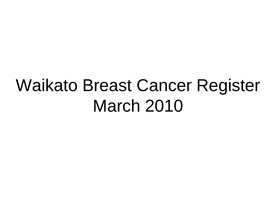# Waikato Breast Cancer Register March 2010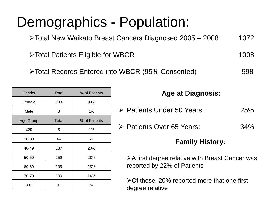### Demographics - Population:

Total New Waikato Breast Cancers Diagnosed 2005 – 2008 1072

▶ Total Patients Eligible for WBCR 2008

Total Records Entered into WBCR (95% Consented) 998

| Gender    | Total        | % of Patients |  |  |
|-----------|--------------|---------------|--|--|
| Female    | 938          | 99%           |  |  |
| Male      | 3            | 1%            |  |  |
| Age Group | <b>Total</b> | % of Patients |  |  |
| ≤29       | 5            | 1%            |  |  |
| 30-39     | 44           | 5%            |  |  |
| 40-49     | 187          | 20%           |  |  |
| 50-59     | 259          | 28%           |  |  |
| 60-69     | 235          | 25%           |  |  |
| 70-79     | 130          | 14%           |  |  |
| $80+$     | 81           | 7%            |  |  |

#### **Age at Diagnosis:**

- Patients Under 50 Years: 25%
- > Patients Over 65 Years: 34%

#### **Family History:**

**≻A first degree relative with Breast Cancer was** reported by 22% of Patients

Of these, 20% reported more that one first degree relative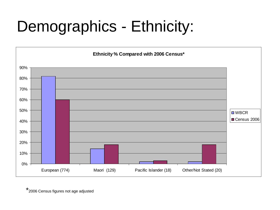## Demographics - Ethnicity:



\* 2006 Census figures not age adjusted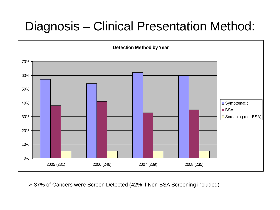### Diagnosis – Clinical Presentation Method:



37% of Cancers were Screen Detected (42% if Non BSA Screening included)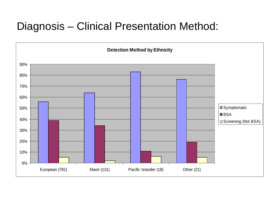#### Diagnosis – Clinical Presentation Method:

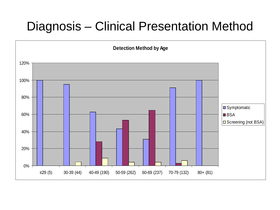#### Diagnosis – Clinical Presentation Method

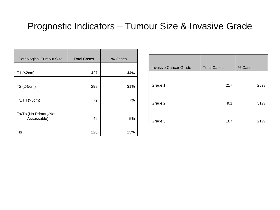#### Prognostic Indicators – Tumour Size & Invasive Grade

| <b>Pathological Tumour Size</b> | <b>Total Cases</b> | % Cases |
|---------------------------------|--------------------|---------|
|                                 |                    |         |
| $T1$ (<2cm)                     | 427                | 44%     |
|                                 |                    |         |
| T2 (2-5cm)                      | 299                | 31%     |
|                                 |                    |         |
| T3/T4 (>5cm)                    | 72                 | 7%      |
|                                 |                    |         |
| Tx/To (No Primary/Not           |                    |         |
| Assessable)                     | 46                 | 5%      |
|                                 |                    |         |
| Tis                             | 128                | 13%     |

| <b>Invasive Cancer Grade</b> | <b>Total Cases</b> | % Cases |
|------------------------------|--------------------|---------|
|                              |                    |         |
| Grade 1                      | 217                | 28%     |
|                              |                    |         |
| Grade 2                      | 401                | 51%     |
|                              |                    |         |
| Grade 3                      | 167                | 21%     |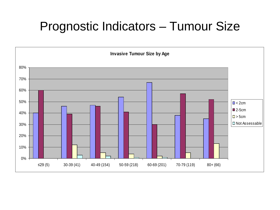#### Prognostic Indicators – Tumour Size

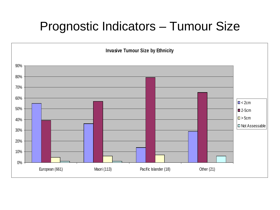#### Prognostic Indicators – Tumour Size

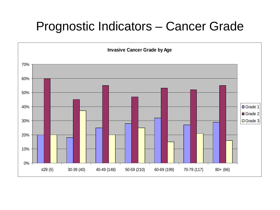#### Prognostic Indicators – Cancer Grade

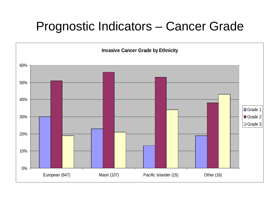#### Prognostic Indicators – Cancer Grade

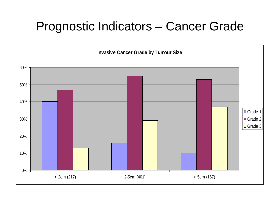#### Prognostic Indicators – Cancer Grade

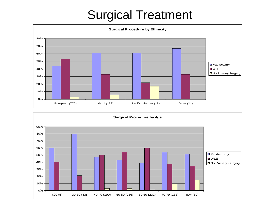#### Surgical Treatment



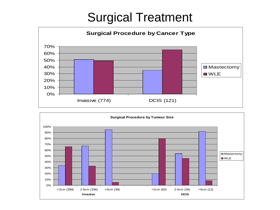#### Surgical Treatment



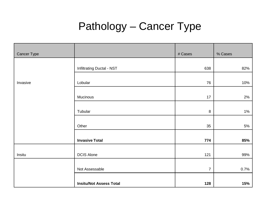#### Pathology – Cancer Type

| Cancer Type |                                | # Cases        | % Cases |
|-------------|--------------------------------|----------------|---------|
|             |                                |                |         |
|             | Infiltrating Ductal - NST      | 638            | 82%     |
|             |                                |                |         |
| Invasive    | Lobular                        | 76             | 10%     |
|             |                                |                |         |
|             | Mucinous                       | 17             | 2%      |
|             |                                |                |         |
|             | Tubular                        | $\, 8$         | $1\%$   |
|             |                                |                |         |
|             | Other                          | 35             | $5\%$   |
|             |                                |                |         |
|             | <b>Invasive Total</b>          | 774            | 85%     |
|             |                                |                |         |
| Insitu      | <b>DCIS Alone</b>              | 121            | 99%     |
|             |                                |                |         |
|             | Not Assessable                 | $\overline{7}$ | 0.7%    |
|             |                                |                |         |
|             | <b>Insitu/Not Assess Total</b> | 128            | 15%     |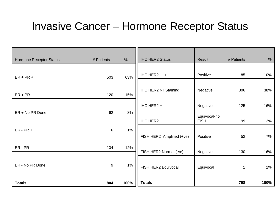#### Invasive Cancer – Hormone Receptor Status

| Hormone Receptor Status | # Patients | $\frac{0}{0}$ | <b>IHC HER2 Status</b>       | Result       | # Patients   | $\%$ |
|-------------------------|------------|---------------|------------------------------|--------------|--------------|------|
|                         |            |               |                              |              |              |      |
| $ER + PR +$             | 503        | 63%           | IHC HER2 +++                 | Positive     | 85           | 10%  |
|                         |            |               |                              |              |              |      |
| $ER + PR -$             |            |               | <b>IHC HER2 Nil Staining</b> | Negative     | 306          | 38%  |
|                         | 120        | 15%           |                              |              |              |      |
|                         |            |               | IHC HER2 +                   | Negative     | 125          | 16%  |
| ER + No PR Done         | 62         | 8%            |                              | Equivocal-no |              |      |
|                         |            |               | IHC HER2 ++                  | <b>FISH</b>  | 99           | 12%  |
| $ER - PR +$             | 6          | 1%            |                              |              |              |      |
|                         |            |               | FISH HER2 Amplified (+ve)    | Positive     | 52           | 7%   |
| $ER - PR -$             | 104        | 12%           |                              |              |              |      |
|                         |            |               | FISH HER2 Normal (-ve)       | Negative     | 130          | 16%  |
|                         |            |               |                              |              |              |      |
| ER - No PR Done         | 9          | 1%            | FISH HER2 Equivocal          | Equivocal    | $\mathbf{1}$ | 1%   |
|                         |            |               |                              |              |              |      |
| <b>Totals</b>           | 804        | 100%          | <b>Totals</b>                |              | 798          | 100% |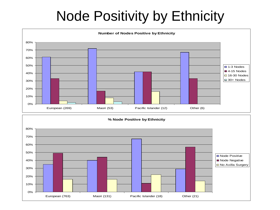### Node Positivity by Ethnicity

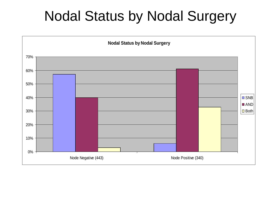### Nodal Status by Nodal Surgery

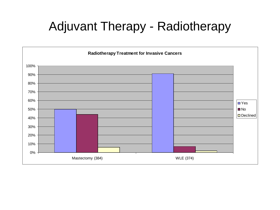### Adjuvant Therapy - Radiotherapy

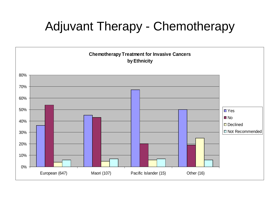### Adjuvant Therapy - Chemotherapy

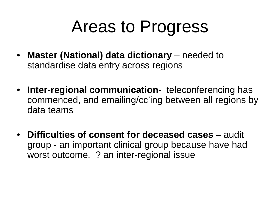# Areas to Progress

- **Master (National) data dictionary** needed to standardise data entry across regions
- **Inter-regional communication-** teleconferencing has commenced, and emailing/cc'ing between all regions by data teams
- **Difficulties of consent for deceased cases** audit group - an important clinical group because have had worst outcome. ? an inter-regional issue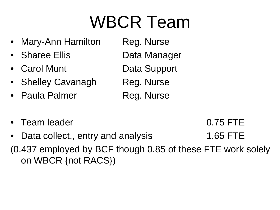# WBCR Team

- Mary-Ann Hamilton Reg. Nurse
- Sharee Ellis Data Manager
- Carol Munt Data Support
- Shelley Cavanagh Reg. Nurse
- Paula Palmer Reg. Nurse

- -
- Team leader 0.75 FTE

Data collect., entry and analysis 1.65 FTE (0.437 employed by BCF though 0.85 of these FTE work solely on WBCR {not RACS})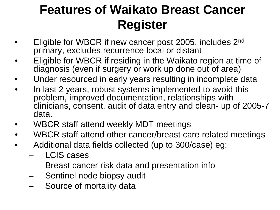### **Features of Waikato Breast Cancer Register**

- Eligible for WBCR if new cancer post 2005, includes 2<sup>nd</sup> primary, excludes recurrence local or distant
- Eligible for WBCR if residing in the Waikato region at time of diagnosis (even if surgery or work up done out of area)
- Under resourced in early years resulting in incomplete data
- In last 2 years, robust systems implemented to avoid this problem, improved documentation, relationships with clinicians, consent, audit of data entry and clean- up of 2005-7 data.
- WBCR staff attend weekly MDT meetings
- WBCR staff attend other cancer/breast care related meetings
- Additional data fields collected (up to 300/case) eg:
	- LCIS cases
	- Breast cancer risk data and presentation info
	- Sentinel node biopsy audit
	- Source of mortality data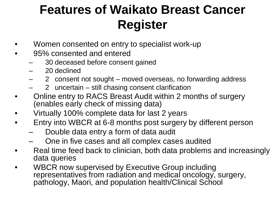### **Features of Waikato Breast Cancer Register**

- Women consented on entry to specialist work-up
- 95% consented and entered
	- 30 deceased before consent gained
	- 20 declined
	- 2 consent not sought moved overseas, no forwarding address
	- 2 uncertain still chasing consent clarification
- Online entry to RACS Breast Audit within 2 months of surgery (enables early check of missing data)
- Virtually 100% complete data for last 2 years
- Entry into WBCR at 6-8 months post surgery by different person
	- Double data entry a form of data audit
	- One in five cases and all complex cases audited
- Real time feed back to clinician, both data problems and increasingly data queries
- WBCR now supervised by Executive Group including representatives from radiation and medical oncology, surgery, pathology, Maori, and population health/Clinical School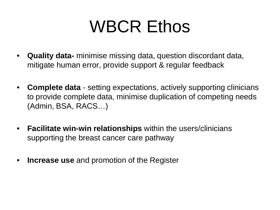# WBCR Ethos

- **Quality data-** minimise missing data, question discordant data, mitigate human error, provide support & regular feedback
- **Complete data** setting expectations, actively supporting clinicians to provide complete data, minimise duplication of competing needs (Admin, BSA, RACS…)
- **Facilitate win-win relationships** within the users/clinicians supporting the breast cancer care pathway
- **Increase use** and promotion of the Register